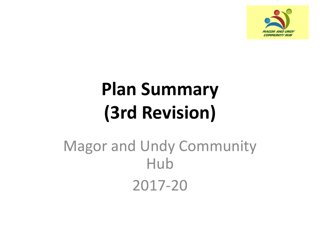

## **Plan Summary (3rd Revision)**

### Magor and Undy Community Hub 2017-20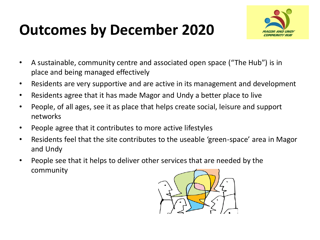#### **Outcomes by December 2020**



- A sustainable, community centre and associated open space ("The Hub") is in place and being managed effectively
- Residents are very supportive and are active in its management and development
- Residents agree that it has made Magor and Undy a better place to live
- People, of all ages, see it as place that helps create social, leisure and support networks
- People agree that it contributes to more active lifestyles
- Residents feel that the site contributes to the useable 'green-space' area in Magor and Undy
- People see that it helps to deliver other services that are needed by the community

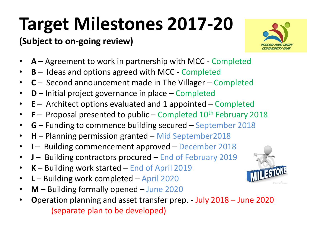# **Target Milestones 2017-20**

#### **(Subject to on-going review)**



- **A** Agreement to work in partnership with MCC Completed
- **B** Ideas and options agreed with MCC Completed
- **C**  Second announcement made in The Villager Completed
- **D** Initial project governance in place Completed
- **E** Architect options evaluated and 1 appointed Completed
- **F** Proposal presented to public Completed 10<sup>th</sup> February 2018
- **G** Funding to commence building secured September 2018
- **H** Planning permission granted Mid September2018
- **I**  Building commencement approved December 2018
- **J**  Building contractors procured End of February 2019
- **K** Building work started End of April 2019
- **L** Building work completed April 2020
- **M** Building formally opened June 2020
- **O**peration planning and asset transfer prep. July 2018 June 2020 (separate plan to be developed)